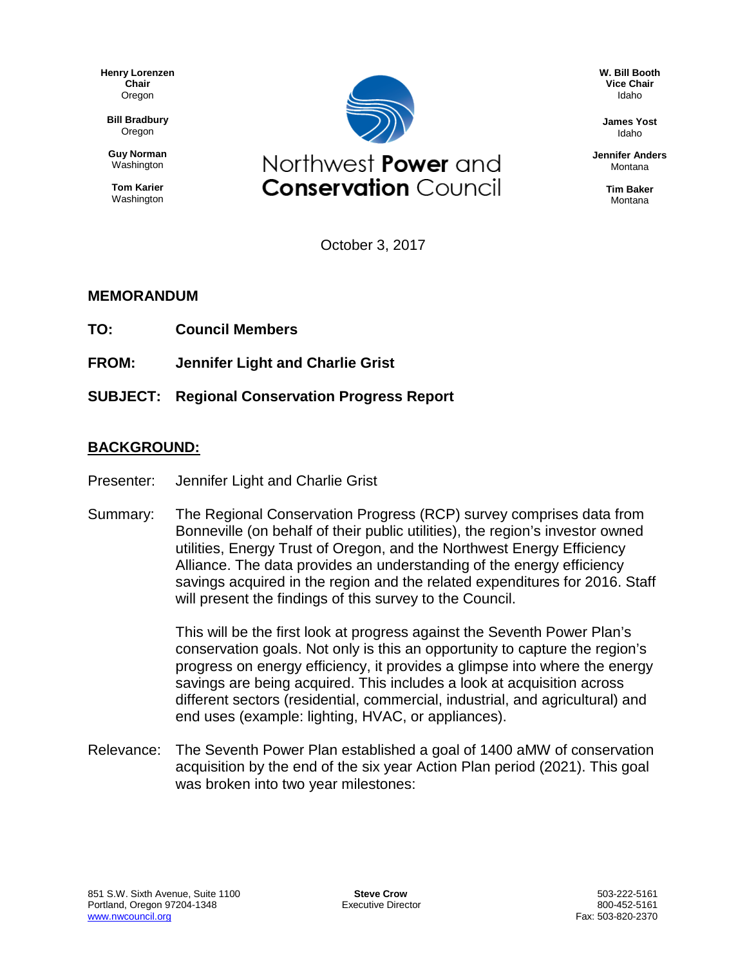**Henry Lorenzen Chair** Oregon

**Bill Bradbury** Oregon

**Guy Norman Washington** 

**Tom Karier** Washington



**W. Bill Booth Vice Chair** Idaho

**James Yost** Idaho

**Jennifer Anders** Montana

> **Tim Baker** Montana

October 3, 2017

#### **MEMORANDUM**

- **TO: Council Members**
- **FROM: Jennifer Light and Charlie Grist**
- **SUBJECT: Regional Conservation Progress Report**

#### **BACKGROUND:**

- Presenter: Jennifer Light and Charlie Grist
- Summary: The Regional Conservation Progress (RCP) survey comprises data from Bonneville (on behalf of their public utilities), the region's investor owned utilities, Energy Trust of Oregon, and the Northwest Energy Efficiency Alliance. The data provides an understanding of the energy efficiency savings acquired in the region and the related expenditures for 2016. Staff will present the findings of this survey to the Council.

This will be the first look at progress against the Seventh Power Plan's conservation goals. Not only is this an opportunity to capture the region's progress on energy efficiency, it provides a glimpse into where the energy savings are being acquired. This includes a look at acquisition across different sectors (residential, commercial, industrial, and agricultural) and end uses (example: lighting, HVAC, or appliances).

Relevance: The Seventh Power Plan established a goal of 1400 aMW of conservation acquisition by the end of the six year Action Plan period (2021). This goal was broken into two year milestones: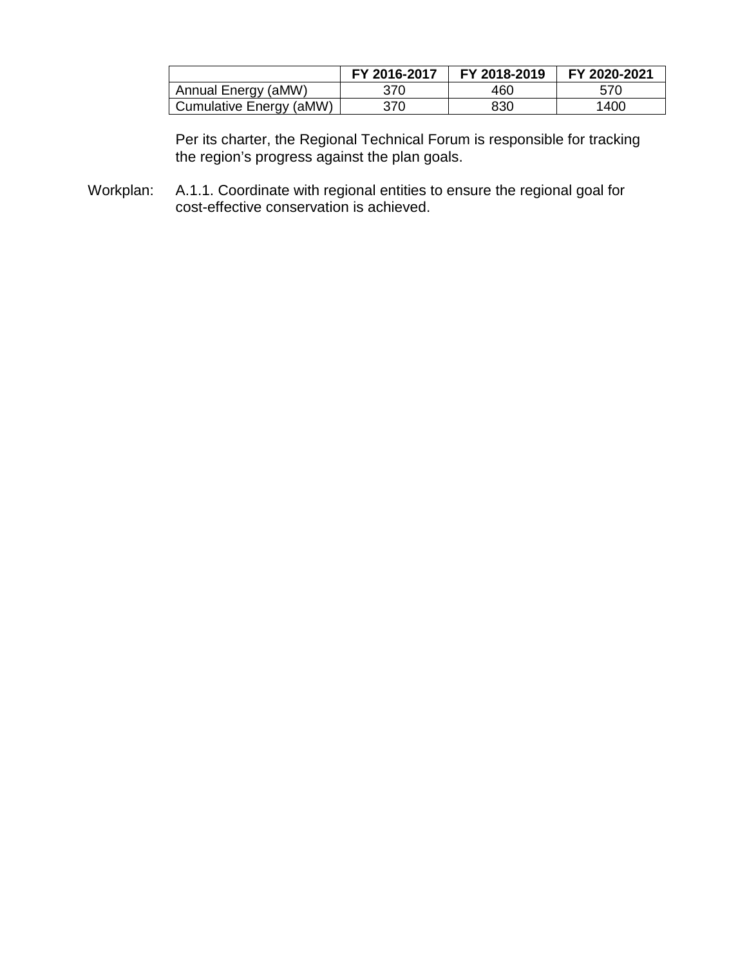|                         | FY 2016-2017 | FY 2018-2019 | FY 2020-2021 |
|-------------------------|--------------|--------------|--------------|
| Annual Energy (aMW)     | 370          | 460          | 570          |
| Cumulative Energy (aMW) | 370          | 830          | 1400         |

Per its charter, the Regional Technical Forum is responsible for tracking the region's progress against the plan goals.

Workplan: A.1.1. Coordinate with regional entities to ensure the regional goal for cost-effective conservation is achieved.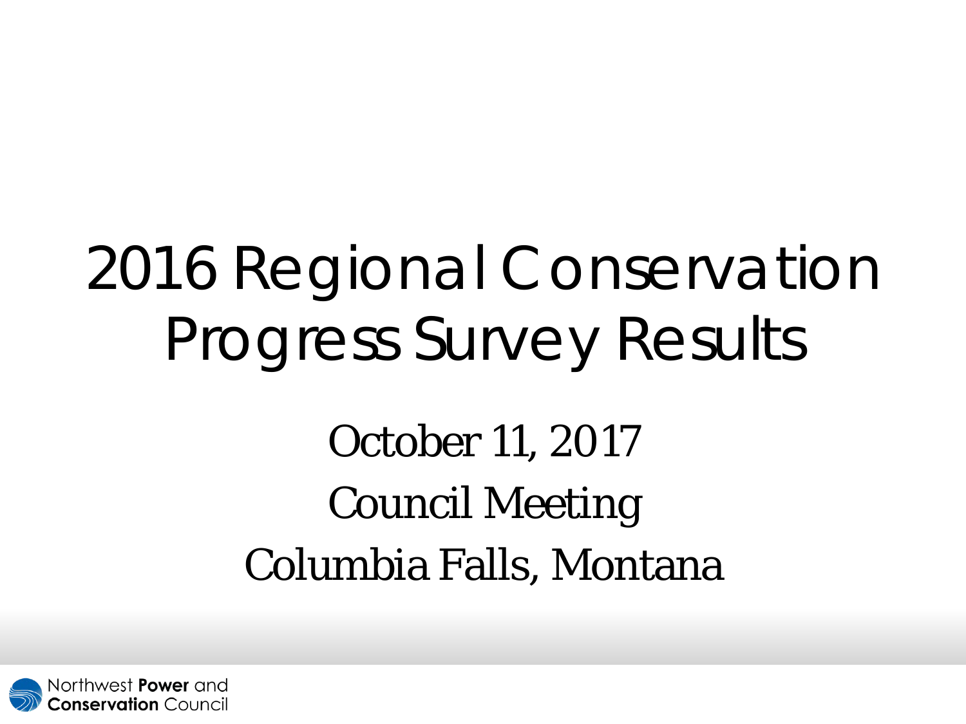# 2016 Regional Conservation Progress Survey Results

October 11, 2017 Council Meeting Columbia Falls, Montana

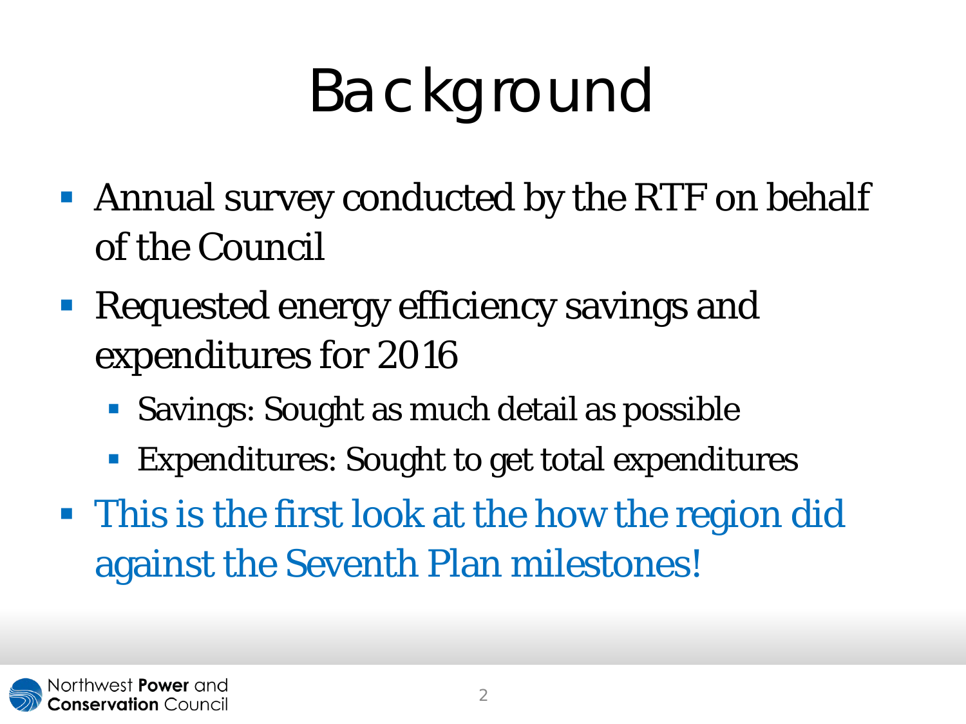# Background

- Annual survey conducted by the RTF on behalf of the Council
- Requested energy efficiency savings and expenditures for 2016
	- **Savings: Sought as much detail as possible**
	- Expenditures: Sought to get total expenditures
- This is the first look at the how the region did against the Seventh Plan milestones!

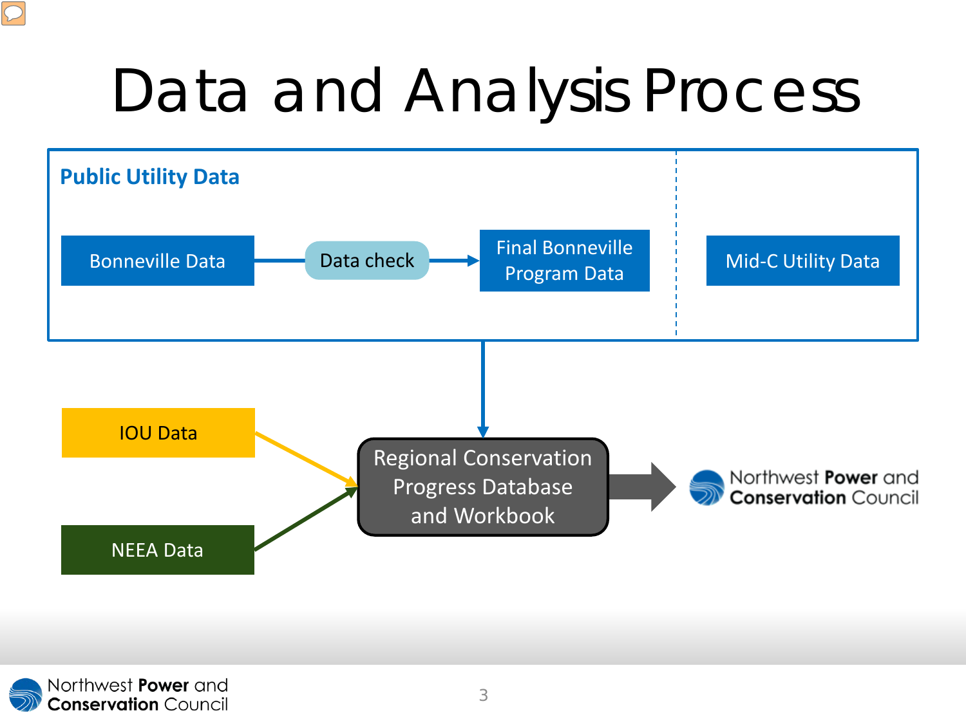# Data and Analysis Process



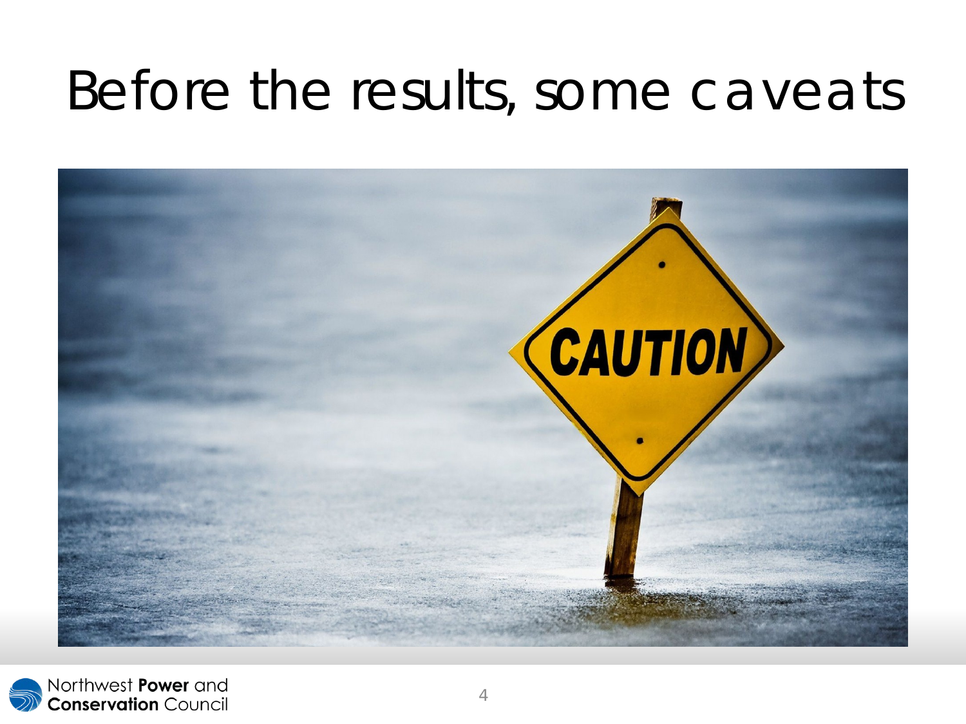## Before the results, some caveats



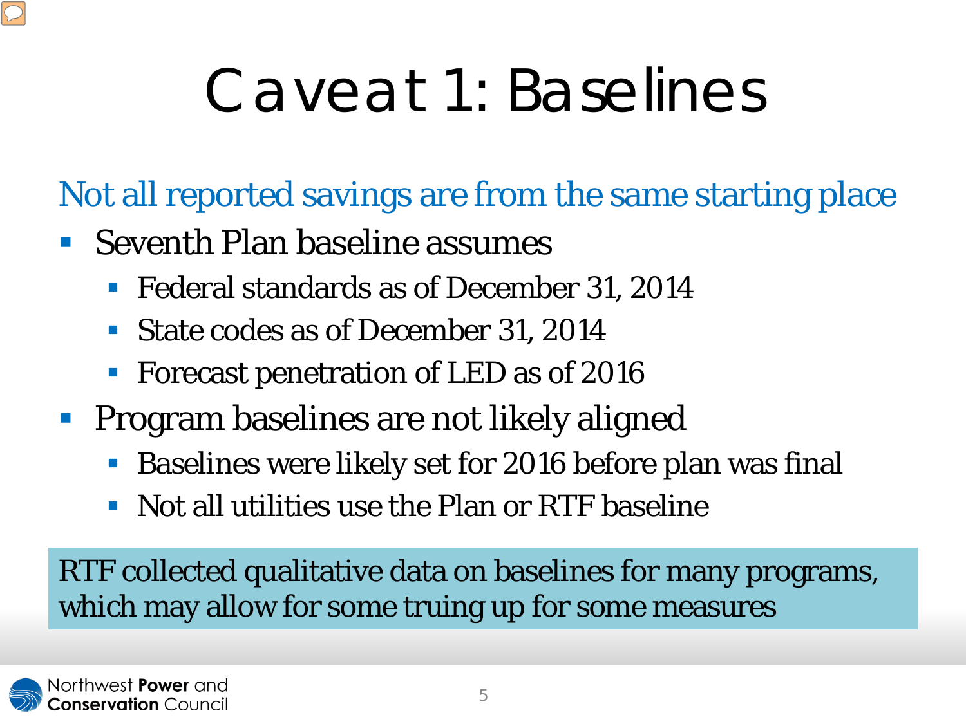## Caveat 1: Baselines

Not all reported savings are from the same starting place

- Seventh Plan baseline assumes
	- **Federal standards as of December 31, 2014**
	- State codes as of December 31, 2014
	- Forecast penetration of LED as of 2016
- **Program baselines are not likely aligned** 
	- Baselines were likely set for 2016 before plan was final
	- Not all utilities use the Plan or RTF baseline

RTF collected qualitative data on baselines for many programs, which may allow for some truing up for some measures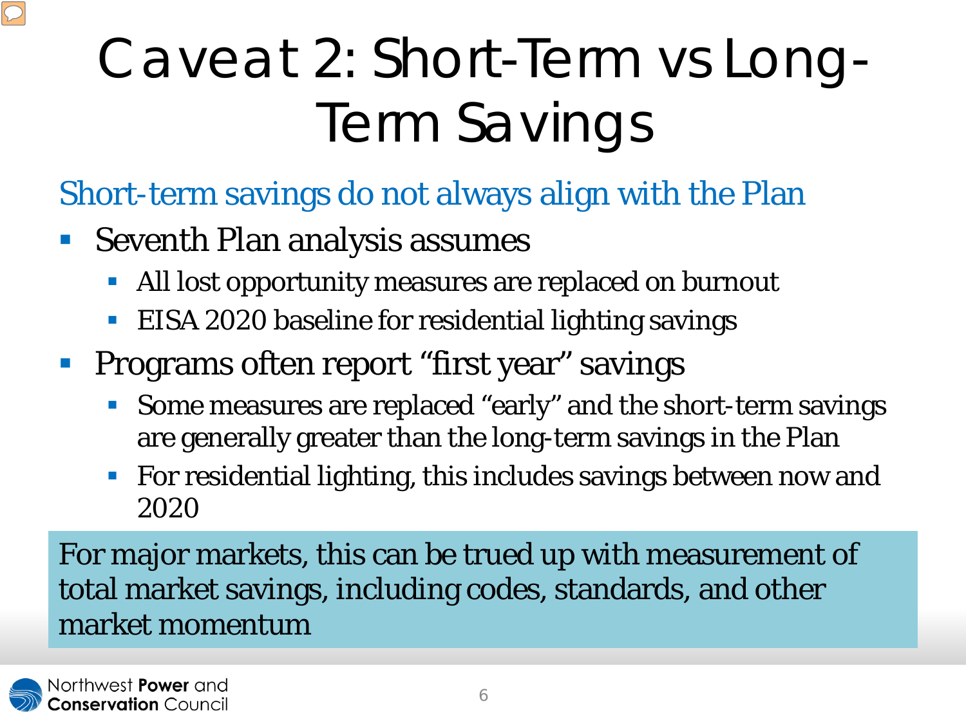## Caveat 2: Short-Term vs Long-Term Savings

- Short-term savings do not always align with the Plan
- Seventh Plan analysis assumes
	- All lost opportunity measures are replaced on burnout
	- EISA 2020 baseline for residential lighting savings
- **Programs often report "first year" savings** 
	- Some measures are replaced "early" and the short-term savings are generally greater than the long-term savings in the Plan
	- **For residential lighting, this includes savings between now and** 2020

For major markets, this can be trued up with measurement of total market savings, including codes, standards, and other market momentum

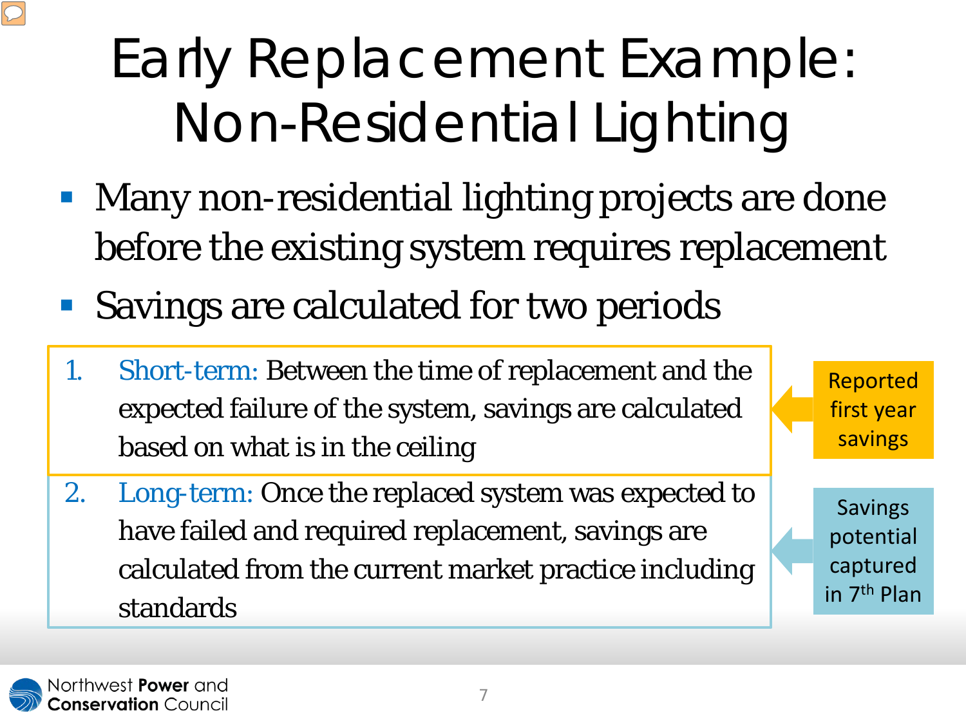## Early Replacement Example: Non-Residential Lighting

- **Many non-residential lighting projects are done** before the existing system requires replacement
- Savings are calculated for two periods
- 1. Short-term: Between the time of replacement and the expected failure of the system, savings are calculated based on what is in the ceiling
- 2. Long-term: Once the replaced system was expected to have failed and required replacement, savings are calculated from the current market practice including standards

Reported first year savings

**Savings** potential captured in 7th Plan

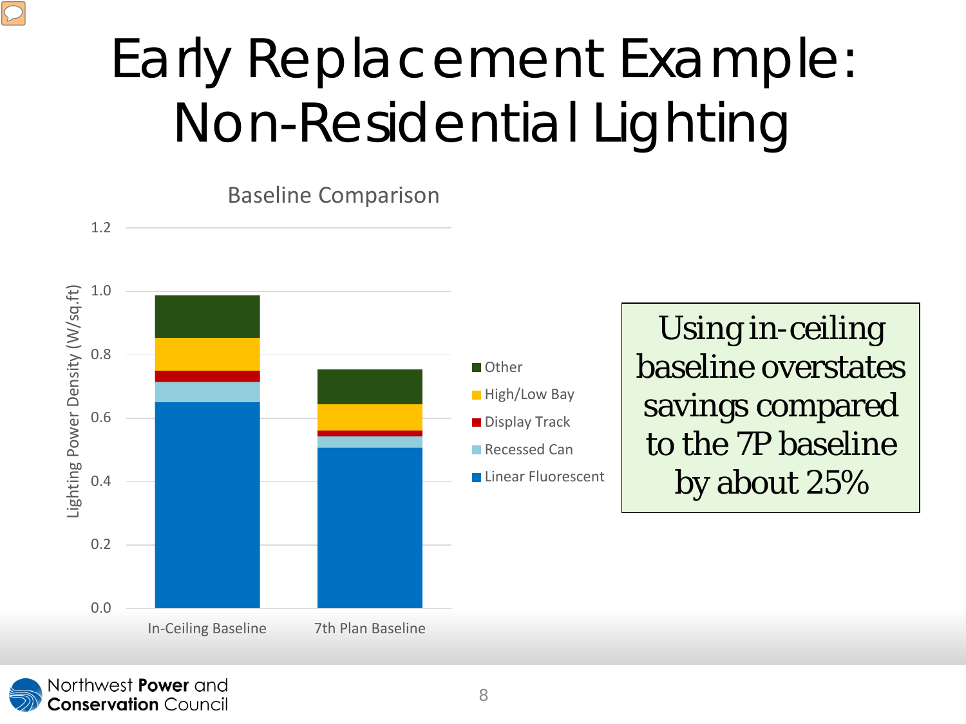## Early Replacement Example: Non-Residential Lighting

Baseline Comparison

![](_page_9_Figure_2.jpeg)

In-Ceiling Baseline 7th Plan Baseline

![](_page_9_Figure_3.jpeg)

Using in-ceiling baseline overstates savings compared to the 7P baseline by about 25%

![](_page_9_Picture_5.jpeg)

0.0

0.2

0.4

Lighting Power Density (W/sq.ft)

Lighting Power Density (W/sq.ft)

1.2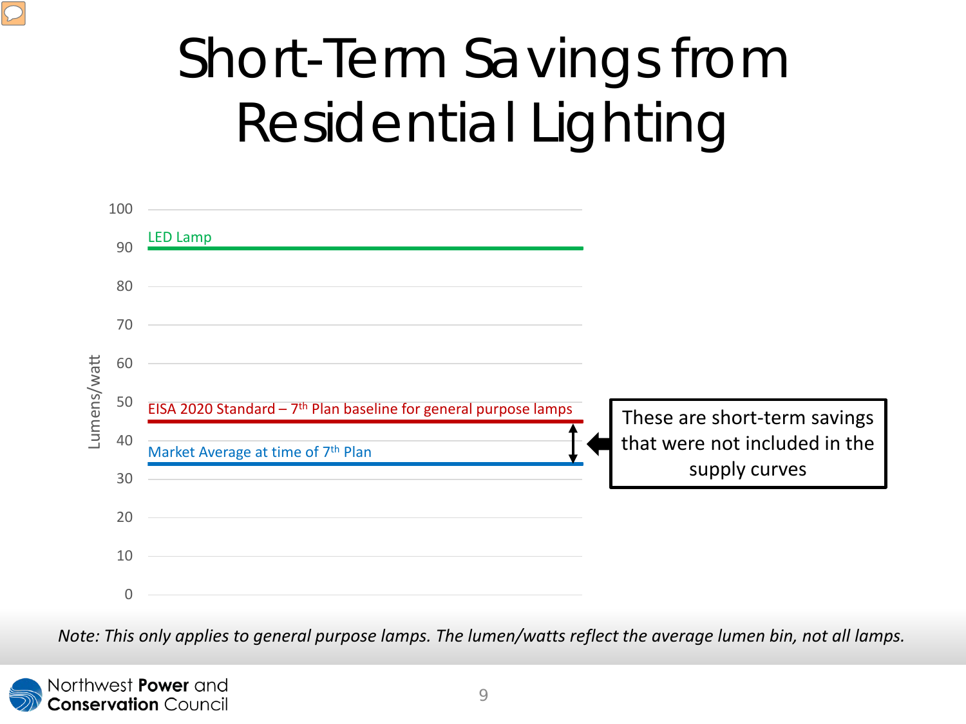# Short-Term Savings from Residential Lighting

![](_page_10_Figure_1.jpeg)

*Note: This only applies to general purpose lamps. The lumen/watts reflect the average lumen bin, not all lamps.* 

![](_page_10_Picture_3.jpeg)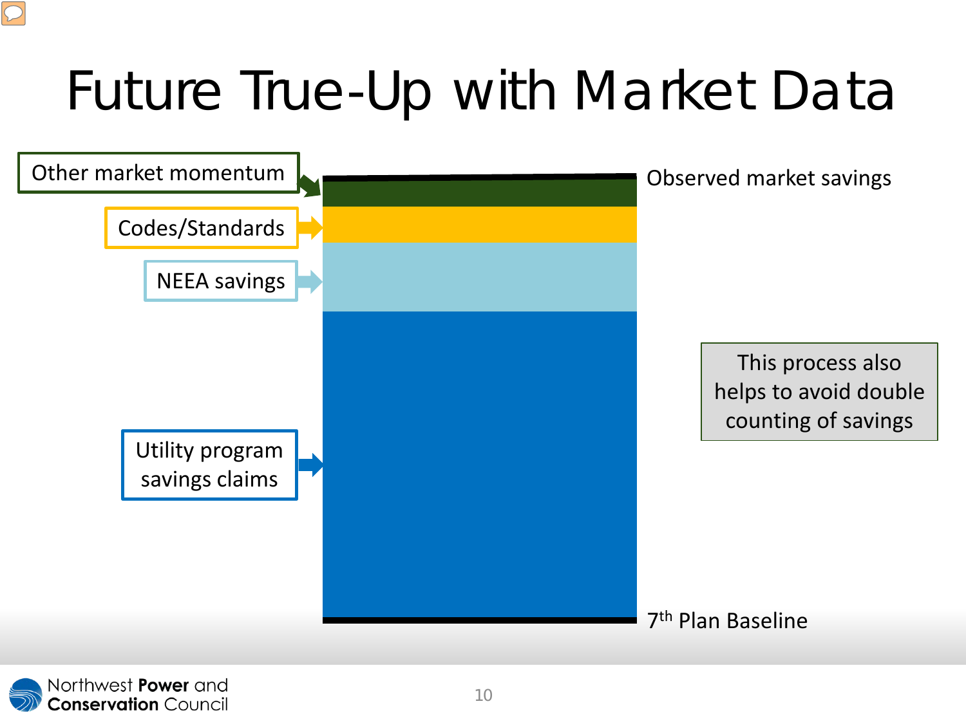## Future True-Up with Market Data

![](_page_11_Figure_1.jpeg)

![](_page_11_Picture_2.jpeg)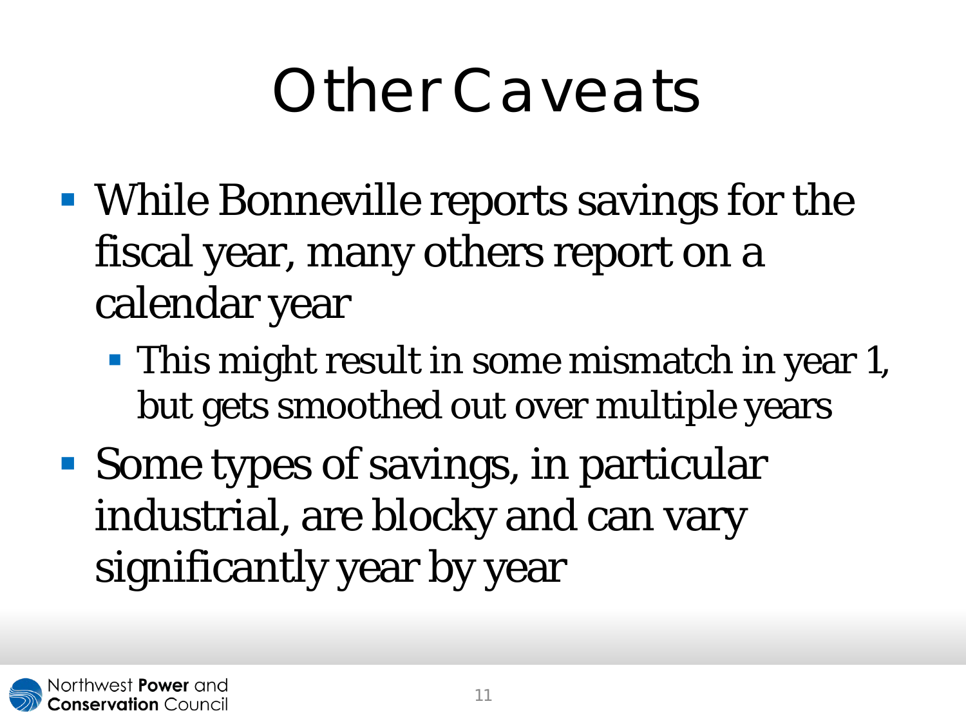## Other Caveats

- While Bonneville reports savings for the fiscal year, many others report on a calendar year
	- **This might result in some mismatch in year 1,** but gets smoothed out over multiple years
- Some types of savings, in particular industrial, are blocky and can vary significantly year by year

![](_page_12_Picture_4.jpeg)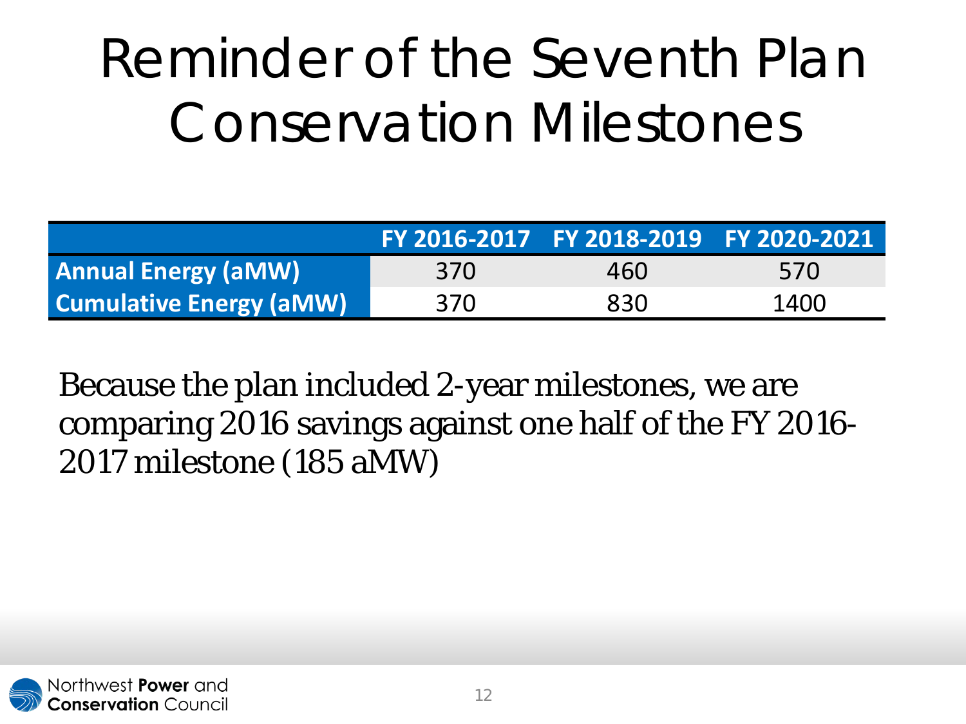## Reminder of the Seventh Plan Conservation Milestones

|                                |     | FY 2016-2017 FY 2018-2019 FY 2020-2021 |      |
|--------------------------------|-----|----------------------------------------|------|
| <b>Annual Energy (aMW)</b>     | 370 | 460                                    | 570  |
| <b>Cumulative Energy (aMW)</b> | 370 | 830                                    | 1400 |

Because the plan included 2-year milestones, we are comparing 2016 savings against one half of the FY 2016- 2017 milestone (185 aMW)

![](_page_13_Picture_3.jpeg)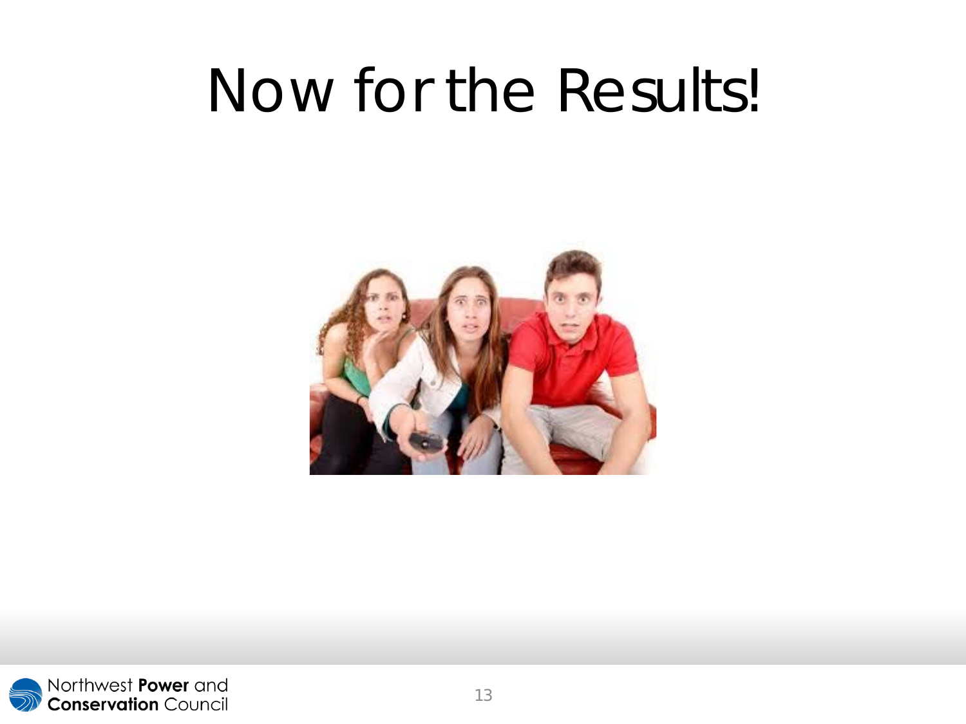## Now for the Results!

![](_page_14_Picture_1.jpeg)

![](_page_14_Picture_2.jpeg)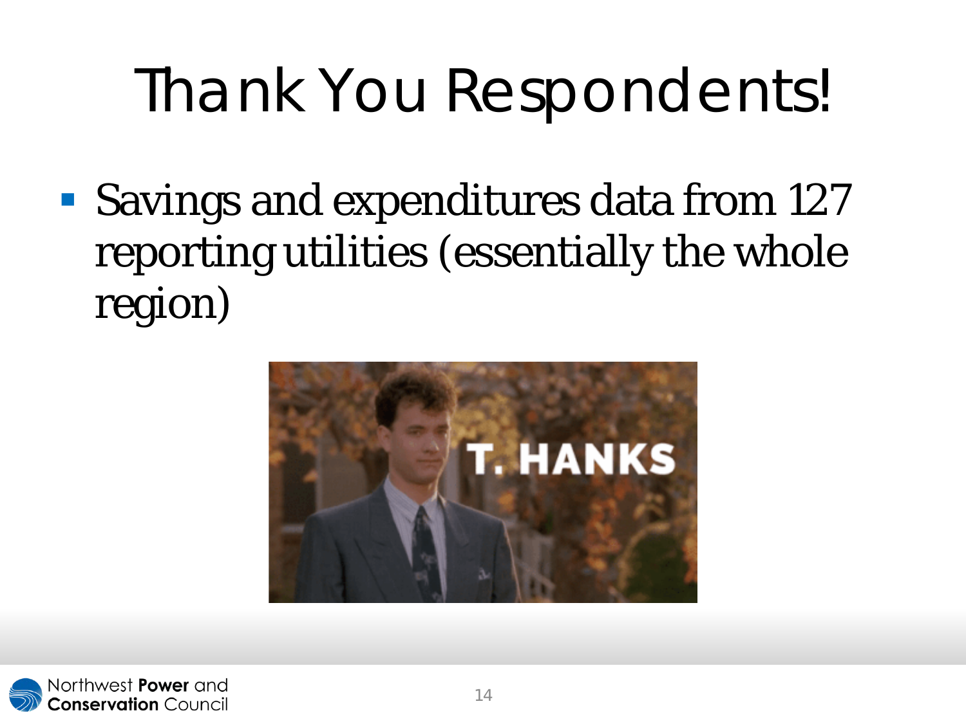# Thank You Respondents!

**Savings and expenditures data from 127** reporting utilities (essentially the whole region)

![](_page_15_Picture_2.jpeg)

![](_page_15_Picture_3.jpeg)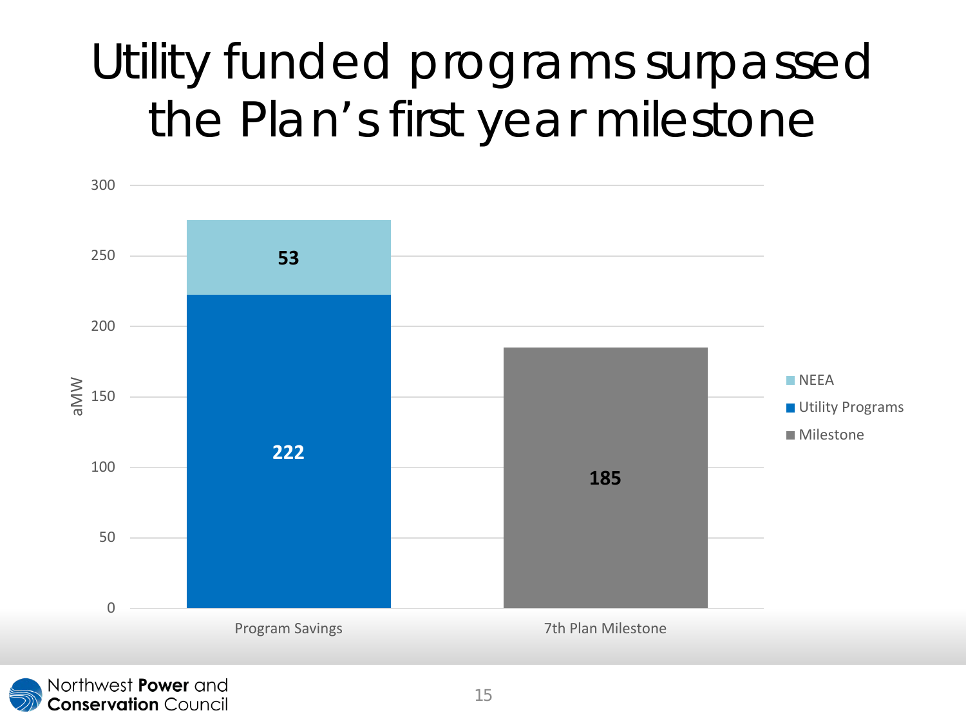## Utility funded programs surpassed the Plan's first year milestone

![](_page_16_Figure_1.jpeg)

![](_page_16_Picture_2.jpeg)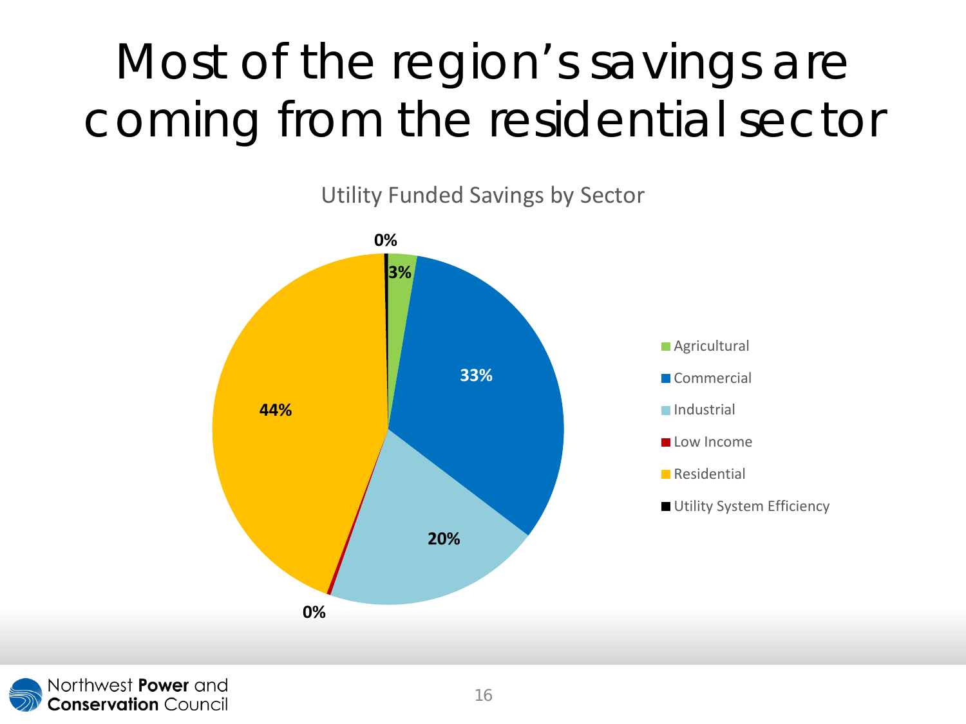## Most of the region's savings are coming from the residential sector

Utility Funded Savings by Sector

![](_page_17_Figure_2.jpeg)

![](_page_17_Picture_3.jpeg)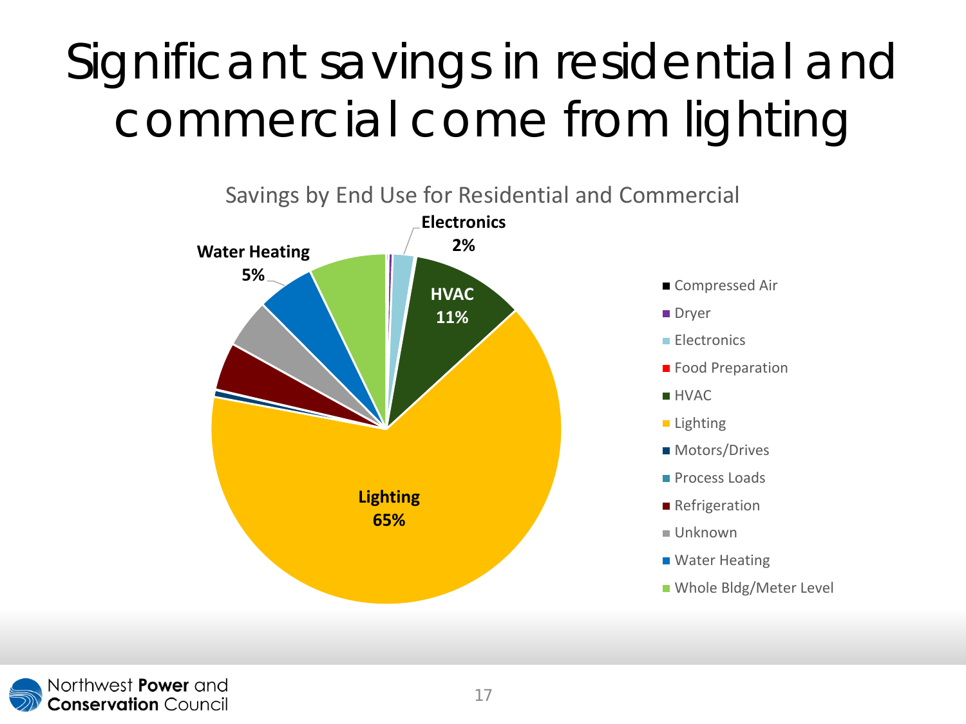## Significant savings in residential and commercial come from lighting

![](_page_18_Figure_1.jpeg)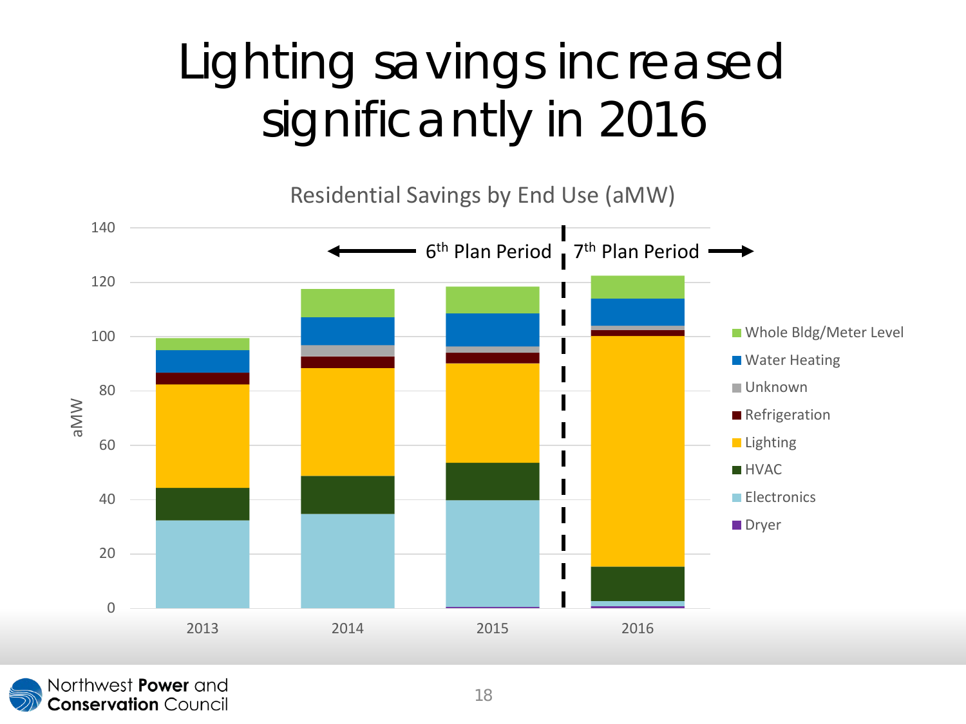## Lighting savings increased significantly in 2016

Residential Savings by End Use (aMW)

![](_page_19_Figure_2.jpeg)

![](_page_19_Picture_3.jpeg)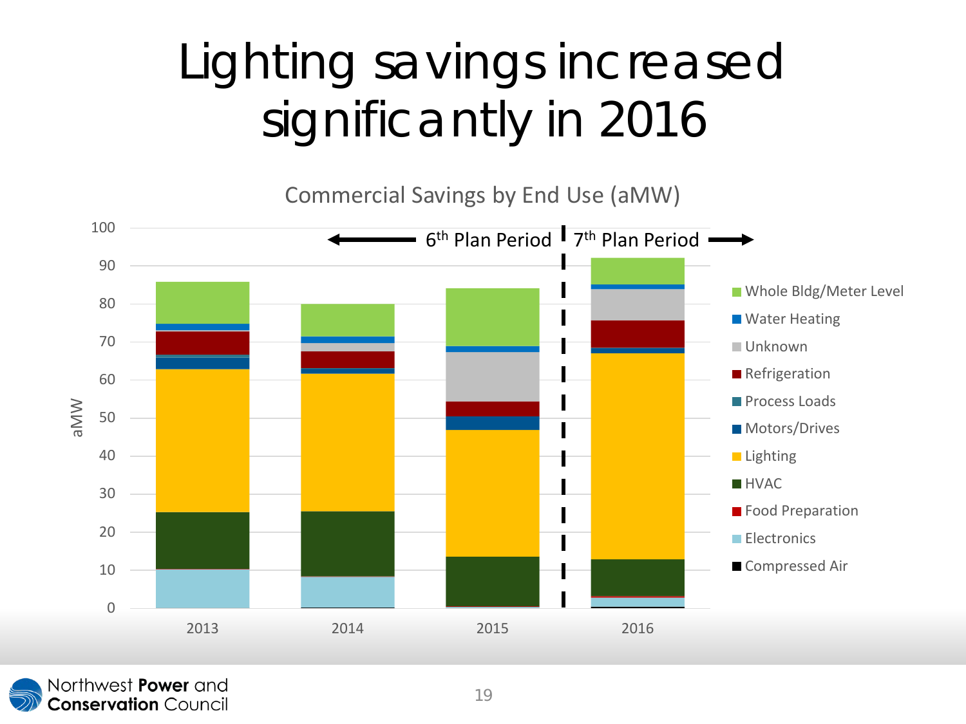## Lighting savings increased significantly in 2016

Commercial Savings by End Use (aMW)

![](_page_20_Figure_2.jpeg)

![](_page_20_Picture_3.jpeg)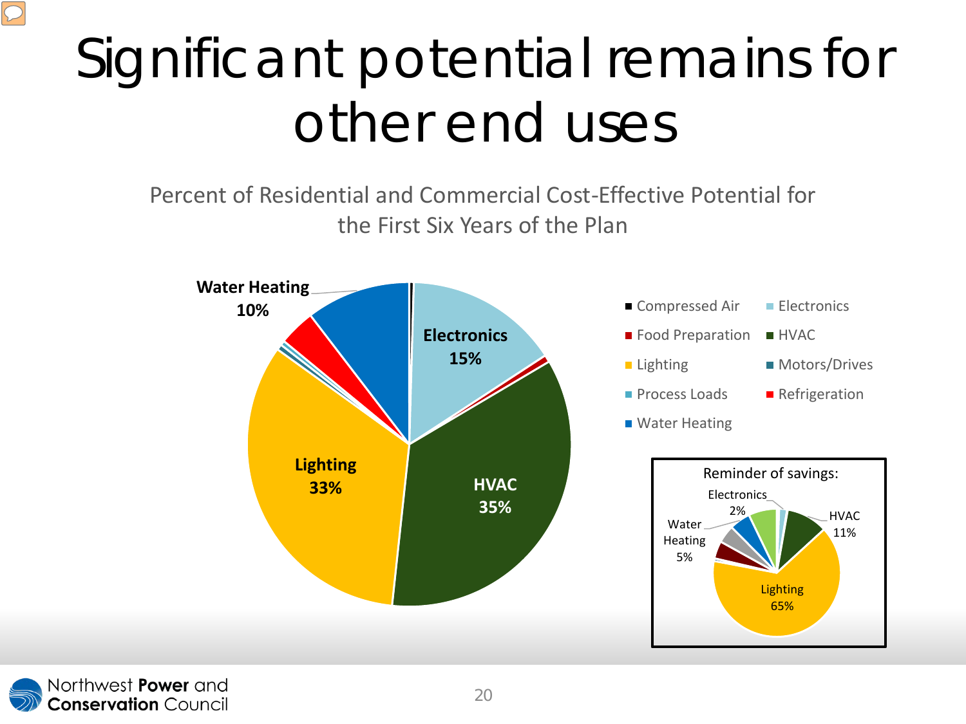## Significant potential remains for other end uses

Percent of Residential and Commercial Cost-Effective Potential for the First Six Years of the Plan

![](_page_21_Figure_2.jpeg)

![](_page_21_Picture_3.jpeg)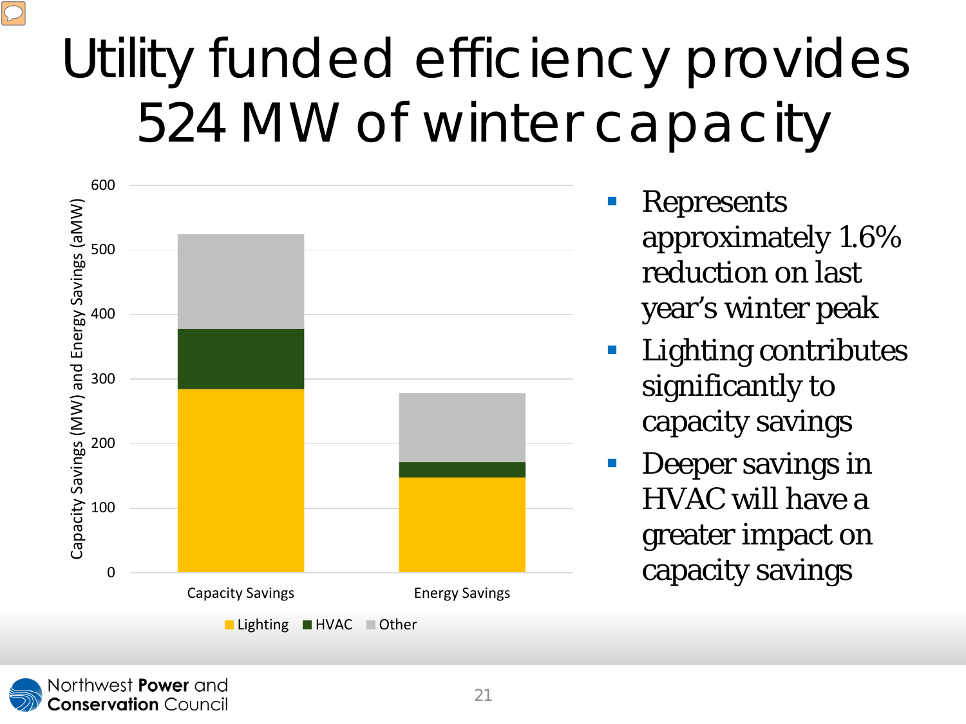## Utility funded efficiency provides 524 MW of winter capacity

![](_page_22_Figure_1.jpeg)

- Represents approximately 1.6% reduction on last year's winter peak
- **Lighting contributes** significantly to capacity savings
- Deeper savings in HVAC will have a greater impact on capacity savings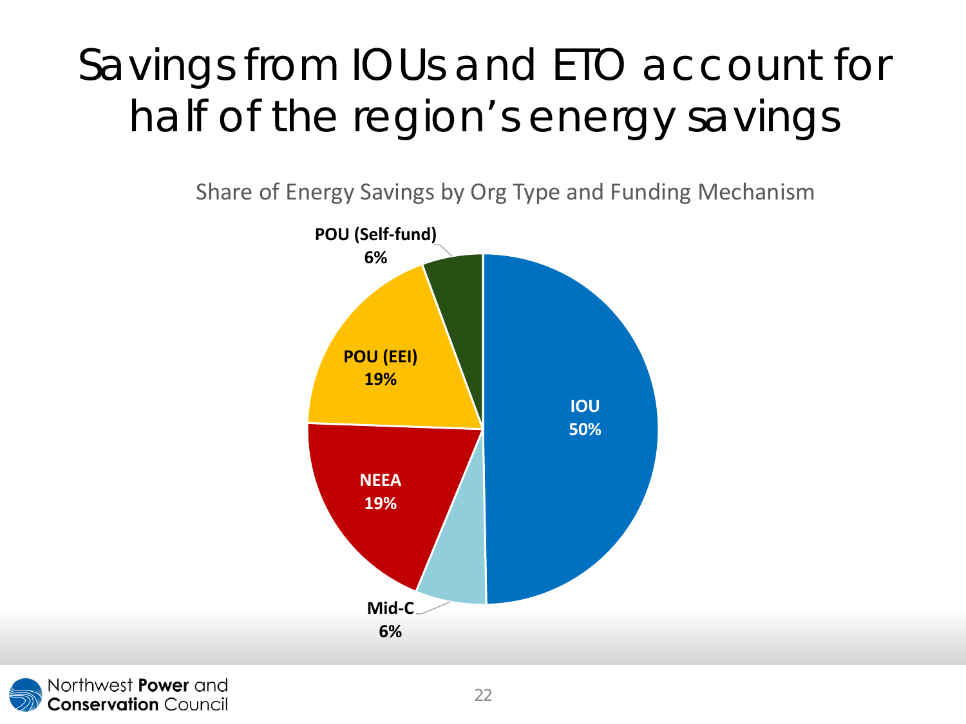### Savings from IOUs and ETO account for half of the region's energy savings

Share of Energy Savings by Org Type and Funding Mechanism

![](_page_23_Figure_2.jpeg)

![](_page_23_Picture_3.jpeg)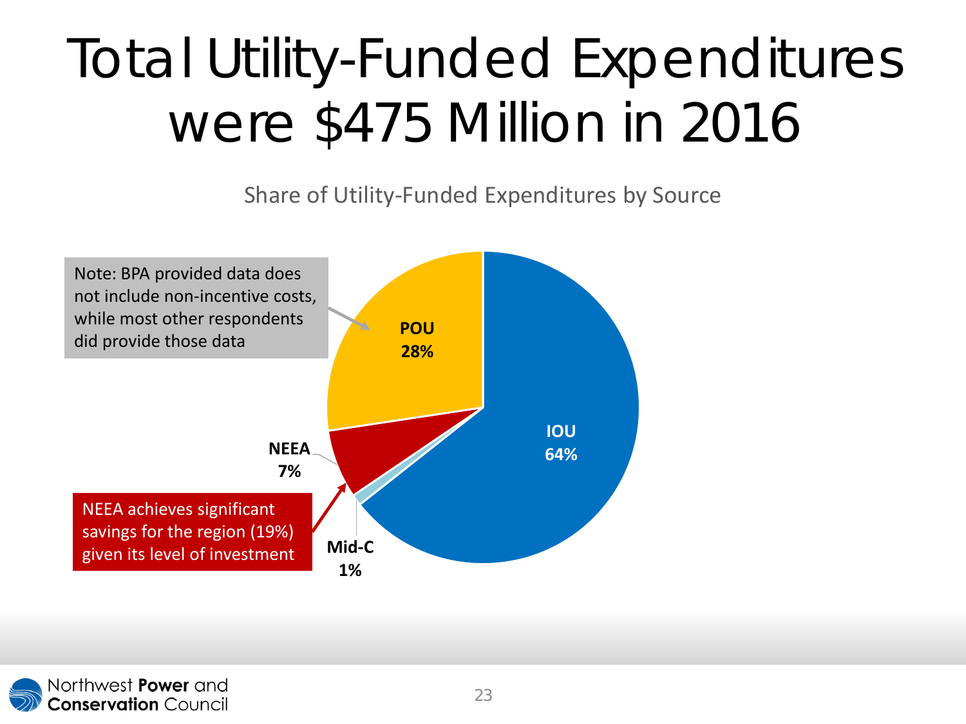## Total Utility-Funded Expenditures were \$475 Million in 2016

Share of Utility-Funded Expenditures by Source

![](_page_24_Figure_2.jpeg)

![](_page_24_Picture_3.jpeg)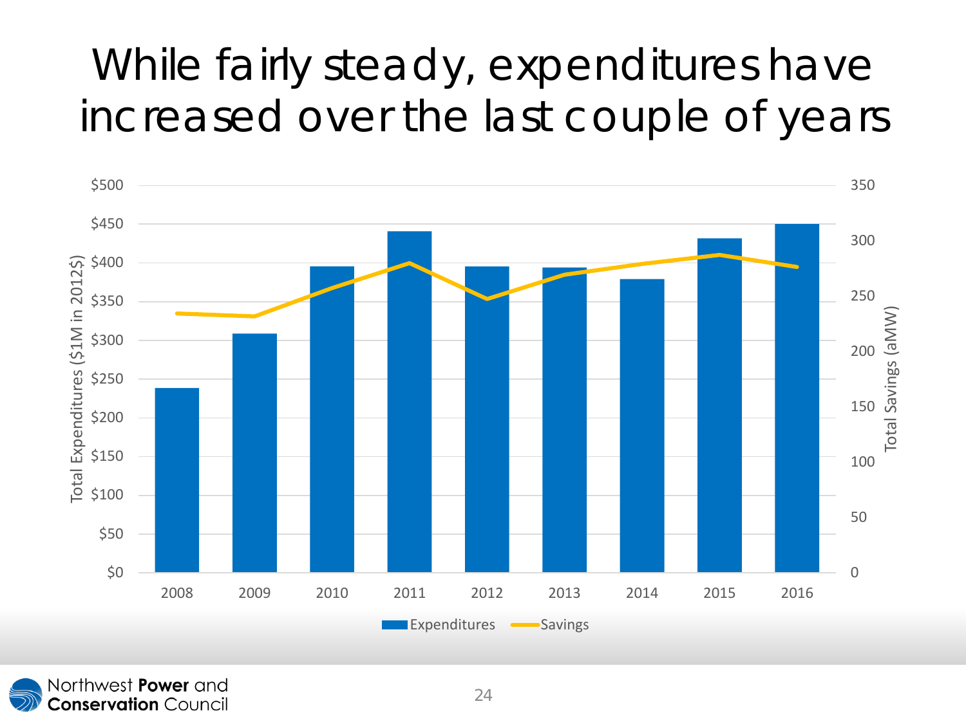#### While fairly steady, expenditures have increased over the last couple of years

![](_page_25_Figure_1.jpeg)

Northwest Power and **Conservation** Council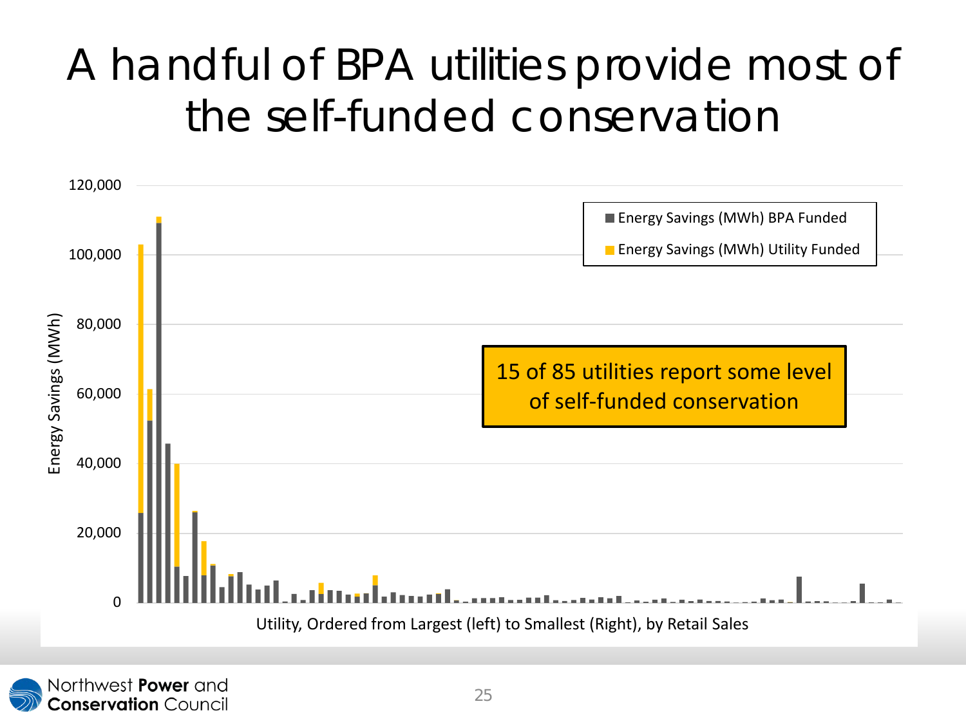#### A handful of BPA utilities provide most of the self-funded conservation

![](_page_26_Figure_1.jpeg)

![](_page_26_Picture_2.jpeg)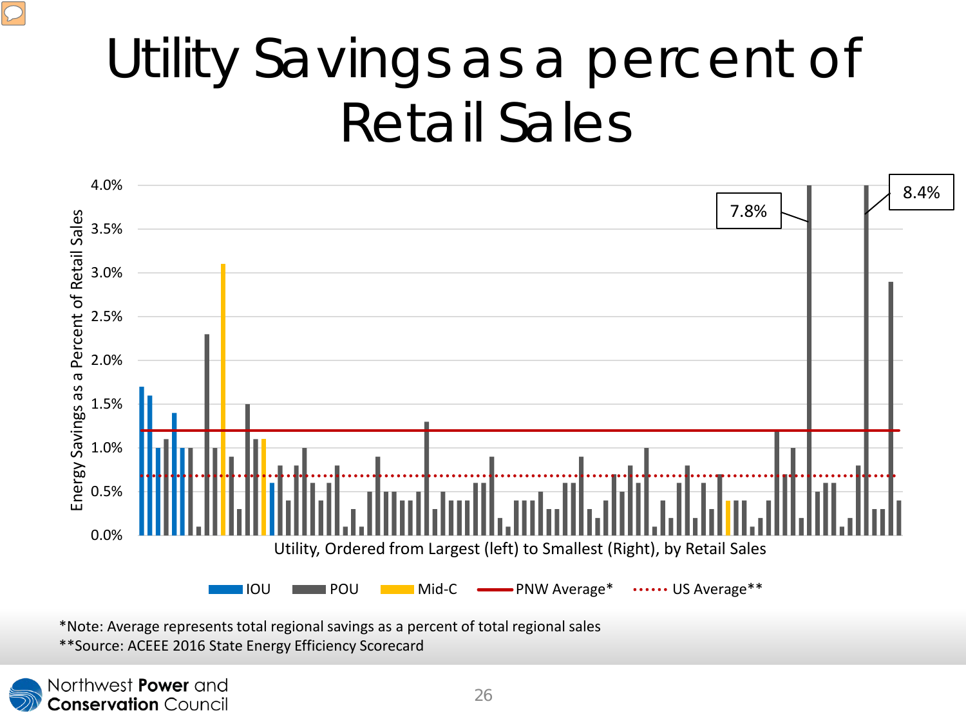## Utility Savings as a percent of Retail Sales

![](_page_27_Figure_1.jpeg)

\*Note: Average represents total regional savings as a percent of total regional sales \*\*Source: ACEEE 2016 State Energy Efficiency Scorecard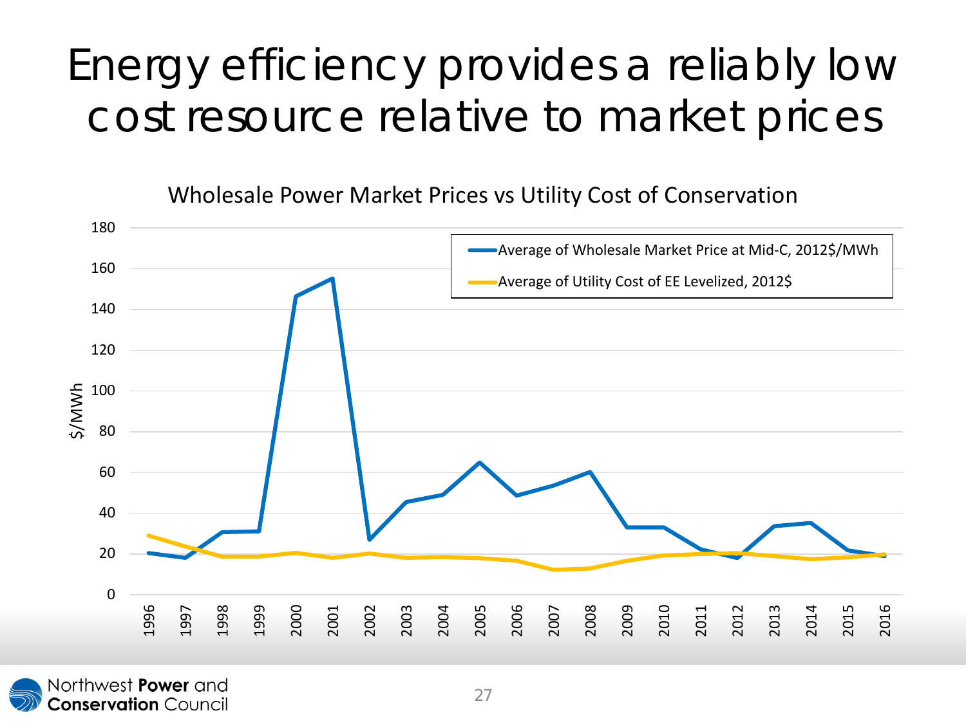#### Energy efficiency provides a reliably low cost resource relative to market prices

Wholesale Power Market Prices vs Utility Cost of Conservation

![](_page_28_Figure_2.jpeg)

![](_page_28_Picture_3.jpeg)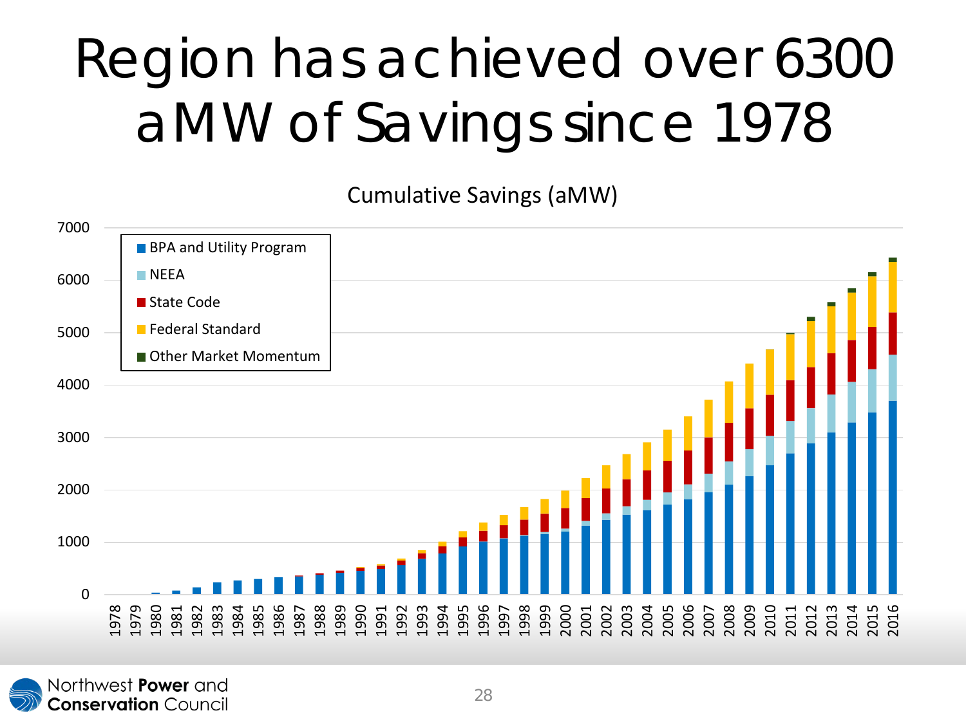## Region has achieved over 6300 aMW of Savings since 1978

Cumulative Savings (aMW)

![](_page_29_Figure_2.jpeg)

![](_page_29_Picture_3.jpeg)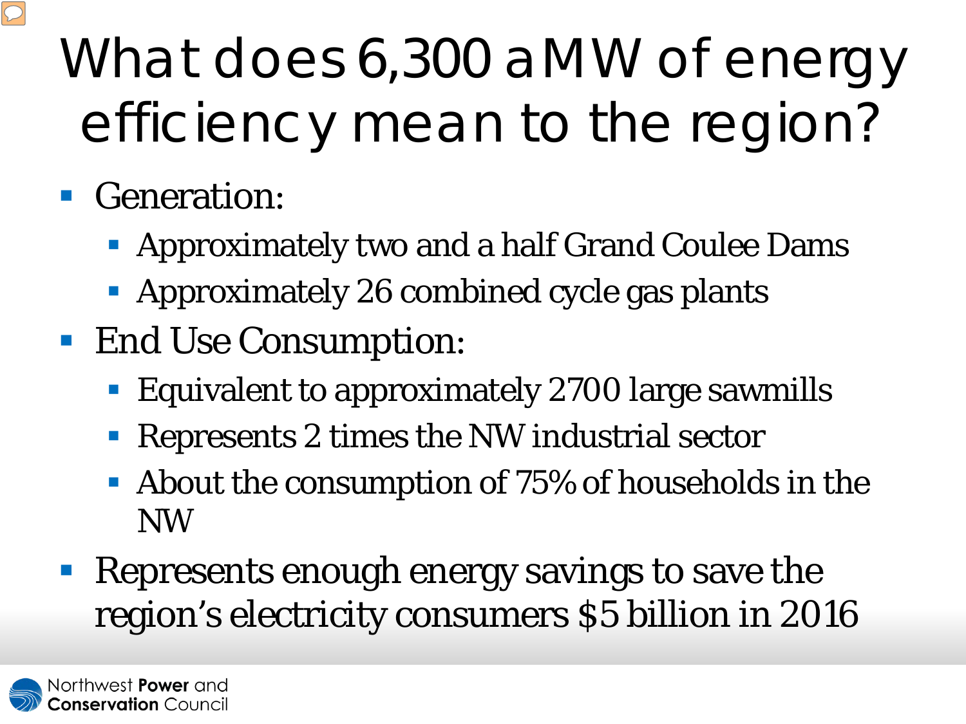# What does 6,300 aMW of energy efficiency mean to the region?

#### **Generation:**

- Approximately two and a half Grand Coulee Dams
- **Approximately 26 combined cycle gas plants**
- End Use Consumption:
	- **Equivalent to approximately 2700 large sawmills**
	- Represents 2 times the NW industrial sector
	- About the consumption of 75% of households in the NW
- **Represents enough energy savings to save the** region's electricity consumers \$5 billion in 2016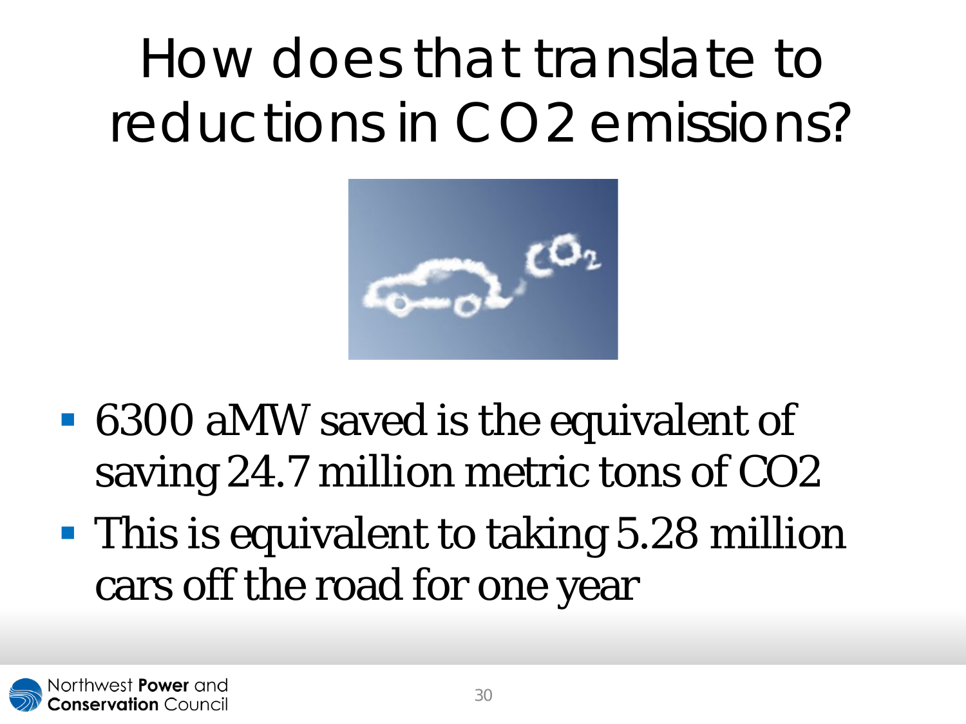## How does that translate to reductions in CO2 emissions?

![](_page_31_Picture_1.jpeg)

- 6300 aMW saved is the equivalent of saving 24.7 million metric tons of CO2
- **This is equivalent to taking 5.28 million** cars off the road for one year

![](_page_31_Picture_4.jpeg)